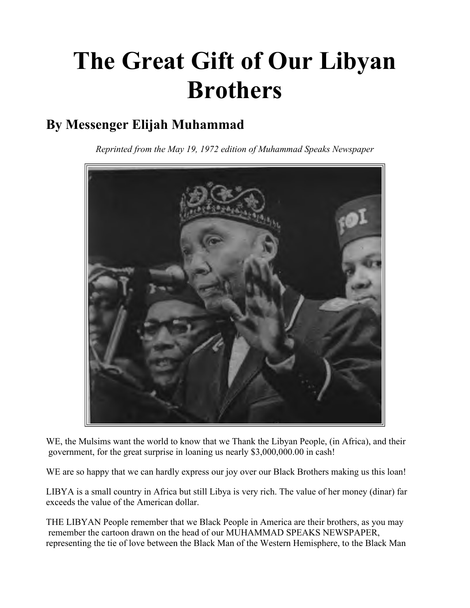## The Great Gift of Our Libyan Brothers

## By Messenger Elijah Muhammad

Reprinted from the May 19, 1972 edition of Muhammad Speaks Newspaper



WE, the Mulsims want the world to know that we Thank the Libyan People, (in Africa), and their government, for the great surprise in loaning us nearly \$3,000,000.00 in cash!

WE are so happy that we can hardly express our joy over our Black Brothers making us this loan!

LIBYA is a small country in Africa but still Libya is very rich. The value of her money (dinar) far exceeds the value of the American dollar.

THE LIBYAN People remember that we Black People in America are their brothers, as you may remember the cartoon drawn on the head of our MUHAMMAD SPEAKS NEWSPAPER, representing the tie of love between the Black Man of the Western Hemisphere, to the Black Man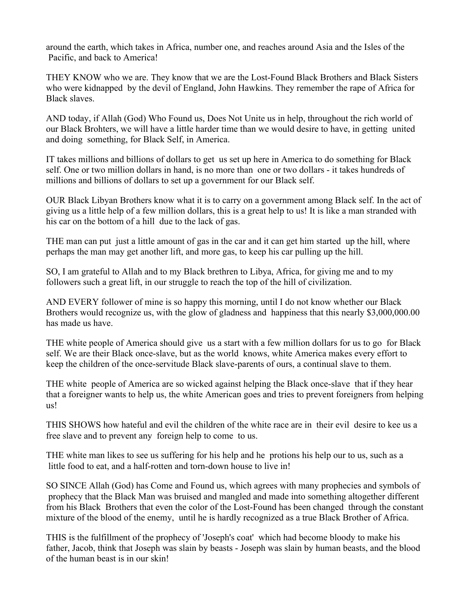around the earth, which takes in Africa, number one, and reaches around Asia and the Isles of the Pacific, and back to America!

THEY KNOW who we are. They know that we are the Lost-Found Black Brothers and Black Sisters who were kidnapped by the devil of England, John Hawkins. They remember the rape of Africa for Black slaves.

AND today, if Allah (God) Who Found us, Does Not Unite us in help, throughout the rich world of our Black Brohters, we will have a little harder time than we would desire to have, in getting united and doing something, for Black Self, in America.

IT takes millions and billions of dollars to get us set up here in America to do something for Black self. One or two million dollars in hand, is no more than one or two dollars - it takes hundreds of millions and billions of dollars to set up a government for our Black self.

OUR Black Libyan Brothers know what it is to carry on a government among Black self. In the act of giving us a little help of a few million dollars, this is a great help to us! It is like a man stranded with his car on the bottom of a hill due to the lack of gas.

THE man can put just a little amount of gas in the car and it can get him started up the hill, where perhaps the man may get another lift, and more gas, to keep his car pulling up the hill.

SO, I am grateful to Allah and to my Black brethren to Libya, Africa, for giving me and to my followers such a great lift, in our struggle to reach the top of the hill of civilization.

AND EVERY follower of mine is so happy this morning, until I do not know whether our Black Brothers would recognize us, with the glow of gladness and happiness that this nearly \$3,000,000.00 has made us have.

THE white people of America should give us a start with a few million dollars for us to go for Black self. We are their Black once-slave, but as the world knows, white America makes every effort to keep the children of the once-servitude Black slave-parents of ours, a continual slave to them.

THE white people of America are so wicked against helping the Black once-slave that if they hear that a foreigner wants to help us, the white American goes and tries to prevent foreigners from helping us!

THIS SHOWS how hateful and evil the children of the white race are in their evil desire to kee us a free slave and to prevent any foreign help to come to us.

THE white man likes to see us suffering for his help and he protions his help our to us, such as a little food to eat, and a half-rotten and torn-down house to live in!

SO SINCE Allah (God) has Come and Found us, which agrees with many prophecies and symbols of prophecy that the Black Man was bruised and mangled and made into something altogether different from his Black Brothers that even the color of the Lost-Found has been changed through the constant mixture of the blood of the enemy, until he is hardly recognized as a true Black Brother of Africa.

THIS is the fulfillment of the prophecy of 'Joseph's coat' which had become bloody to make his father, Jacob, think that Joseph was slain by beasts - Joseph was slain by human beasts, and the blood of the human beast is in our skin!